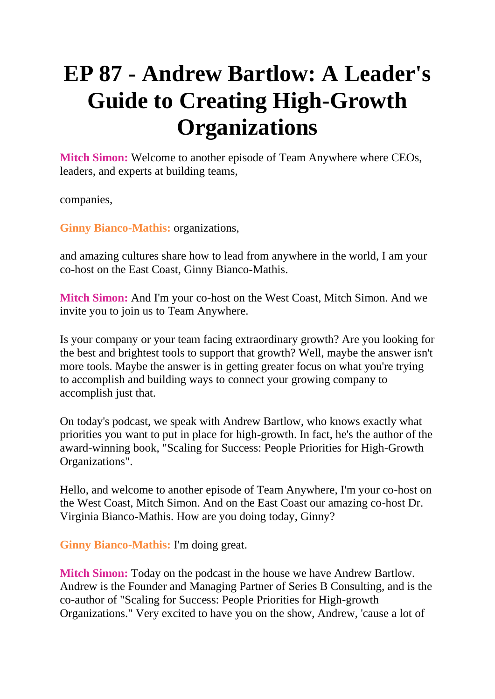## **EP 87 - Andrew Bartlow: A Leader's Guide to Creating High-Growth Organizations**

**Mitch Simon:** Welcome to another episode of Team Anywhere where CEOs, leaders, and experts at building teams,

companies,

**Ginny Bianco-Mathis:** organizations,

and amazing cultures share how to lead from anywhere in the world, I am your co-host on the East Coast, Ginny Bianco-Mathis.

**Mitch Simon:** And I'm your co-host on the West Coast, Mitch Simon. And we invite you to join us to Team Anywhere.

Is your company or your team facing extraordinary growth? Are you looking for the best and brightest tools to support that growth? Well, maybe the answer isn't more tools. Maybe the answer is in getting greater focus on what you're trying to accomplish and building ways to connect your growing company to accomplish just that.

On today's podcast, we speak with Andrew Bartlow, who knows exactly what priorities you want to put in place for high-growth. In fact, he's the author of the award-winning book, "Scaling for Success: People Priorities for High-Growth Organizations".

Hello, and welcome to another episode of Team Anywhere, I'm your co-host on the West Coast, Mitch Simon. And on the East Coast our amazing co-host Dr. Virginia Bianco-Mathis. How are you doing today, Ginny?

**Ginny Bianco-Mathis:** I'm doing great.

**Mitch Simon:** Today on the podcast in the house we have Andrew Bartlow. Andrew is the Founder and Managing Partner of Series B Consulting, and is the co-author of "Scaling for Success: People Priorities for High-growth Organizations." Very excited to have you on the show, Andrew, 'cause a lot of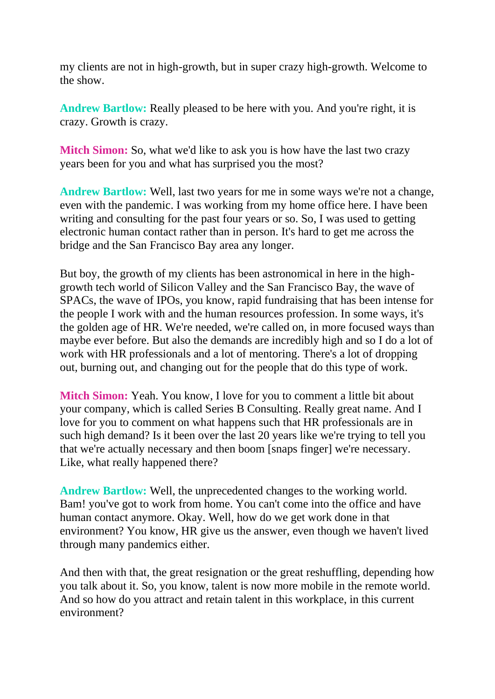my clients are not in high-growth, but in super crazy high-growth. Welcome to the show.

Andrew Bartlow: Really pleased to be here with you. And you're right, it is crazy. Growth is crazy.

**Mitch Simon:** So, what we'd like to ask you is how have the last two crazy years been for you and what has surprised you the most?

**Andrew Bartlow:** Well, last two years for me in some ways we're not a change, even with the pandemic. I was working from my home office here. I have been writing and consulting for the past four years or so. So, I was used to getting electronic human contact rather than in person. It's hard to get me across the bridge and the San Francisco Bay area any longer.

But boy, the growth of my clients has been astronomical in here in the highgrowth tech world of Silicon Valley and the San Francisco Bay, the wave of SPACs, the wave of IPOs, you know, rapid fundraising that has been intense for the people I work with and the human resources profession. In some ways, it's the golden age of HR. We're needed, we're called on, in more focused ways than maybe ever before. But also the demands are incredibly high and so I do a lot of work with HR professionals and a lot of mentoring. There's a lot of dropping out, burning out, and changing out for the people that do this type of work.

**Mitch Simon:** Yeah. You know, I love for you to comment a little bit about your company, which is called Series B Consulting. Really great name. And I love for you to comment on what happens such that HR professionals are in such high demand? Is it been over the last 20 years like we're trying to tell you that we're actually necessary and then boom [snaps finger] we're necessary. Like, what really happened there?

**Andrew Bartlow:** Well, the unprecedented changes to the working world. Bam! you've got to work from home. You can't come into the office and have human contact anymore. Okay. Well, how do we get work done in that environment? You know, HR give us the answer, even though we haven't lived through many pandemics either.

And then with that, the great resignation or the great reshuffling, depending how you talk about it. So, you know, talent is now more mobile in the remote world. And so how do you attract and retain talent in this workplace, in this current environment?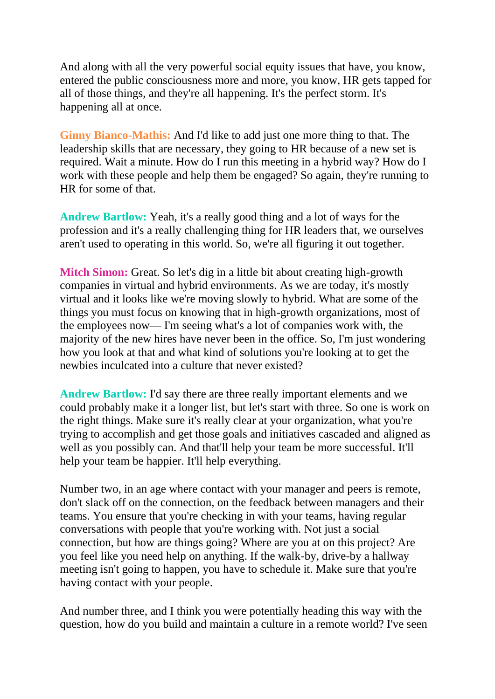And along with all the very powerful social equity issues that have, you know, entered the public consciousness more and more, you know, HR gets tapped for all of those things, and they're all happening. It's the perfect storm. It's happening all at once.

**Ginny Bianco-Mathis:** And I'd like to add just one more thing to that. The leadership skills that are necessary, they going to HR because of a new set is required. Wait a minute. How do I run this meeting in a hybrid way? How do I work with these people and help them be engaged? So again, they're running to HR for some of that.

**Andrew Bartlow:** Yeah, it's a really good thing and a lot of ways for the profession and it's a really challenging thing for HR leaders that, we ourselves aren't used to operating in this world. So, we're all figuring it out together.

**Mitch Simon:** Great. So let's dig in a little bit about creating high-growth companies in virtual and hybrid environments. As we are today, it's mostly virtual and it looks like we're moving slowly to hybrid. What are some of the things you must focus on knowing that in high-growth organizations, most of the employees now— I'm seeing what's a lot of companies work with, the majority of the new hires have never been in the office. So, I'm just wondering how you look at that and what kind of solutions you're looking at to get the newbies inculcated into a culture that never existed?

**Andrew Bartlow:** I'd say there are three really important elements and we could probably make it a longer list, but let's start with three. So one is work on the right things. Make sure it's really clear at your organization, what you're trying to accomplish and get those goals and initiatives cascaded and aligned as well as you possibly can. And that'll help your team be more successful. It'll help your team be happier. It'll help everything.

Number two, in an age where contact with your manager and peers is remote, don't slack off on the connection, on the feedback between managers and their teams. You ensure that you're checking in with your teams, having regular conversations with people that you're working with. Not just a social connection, but how are things going? Where are you at on this project? Are you feel like you need help on anything. If the walk-by, drive-by a hallway meeting isn't going to happen, you have to schedule it. Make sure that you're having contact with your people.

And number three, and I think you were potentially heading this way with the question, how do you build and maintain a culture in a remote world? I've seen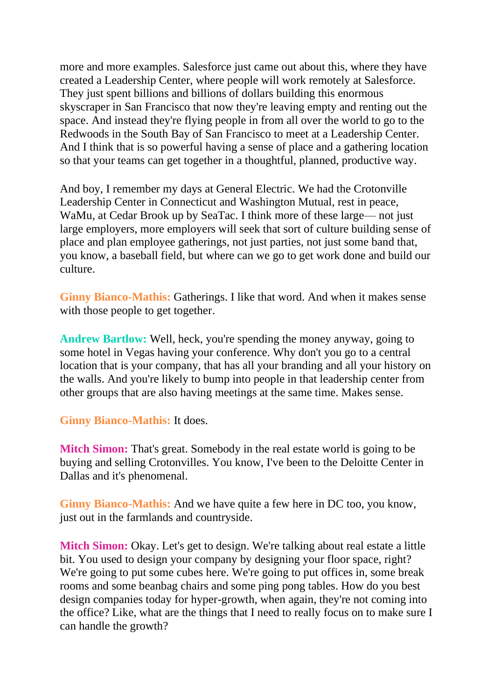more and more examples. Salesforce just came out about this, where they have created a Leadership Center, where people will work remotely at Salesforce. They just spent billions and billions of dollars building this enormous skyscraper in San Francisco that now they're leaving empty and renting out the space. And instead they're flying people in from all over the world to go to the Redwoods in the South Bay of San Francisco to meet at a Leadership Center. And I think that is so powerful having a sense of place and a gathering location so that your teams can get together in a thoughtful, planned, productive way.

And boy, I remember my days at General Electric. We had the Crotonville Leadership Center in Connecticut and Washington Mutual, rest in peace, WaMu, at Cedar Brook up by SeaTac. I think more of these large— not just large employers, more employers will seek that sort of culture building sense of place and plan employee gatherings, not just parties, not just some band that, you know, a baseball field, but where can we go to get work done and build our culture.

**Ginny Bianco-Mathis:** Gatherings. I like that word. And when it makes sense with those people to get together.

**Andrew Bartlow:** Well, heck, you're spending the money anyway, going to some hotel in Vegas having your conference. Why don't you go to a central location that is your company, that has all your branding and all your history on the walls. And you're likely to bump into people in that leadership center from other groups that are also having meetings at the same time. Makes sense.

## **Ginny Bianco-Mathis:** It does.

**Mitch Simon:** That's great. Somebody in the real estate world is going to be buying and selling Crotonvilles. You know, I've been to the Deloitte Center in Dallas and it's phenomenal.

**Ginny Bianco-Mathis:** And we have quite a few here in DC too, you know, just out in the farmlands and countryside.

**Mitch Simon:** Okay. Let's get to design. We're talking about real estate a little bit. You used to design your company by designing your floor space, right? We're going to put some cubes here. We're going to put offices in, some break rooms and some beanbag chairs and some ping pong tables. How do you best design companies today for hyper-growth, when again, they're not coming into the office? Like, what are the things that I need to really focus on to make sure I can handle the growth?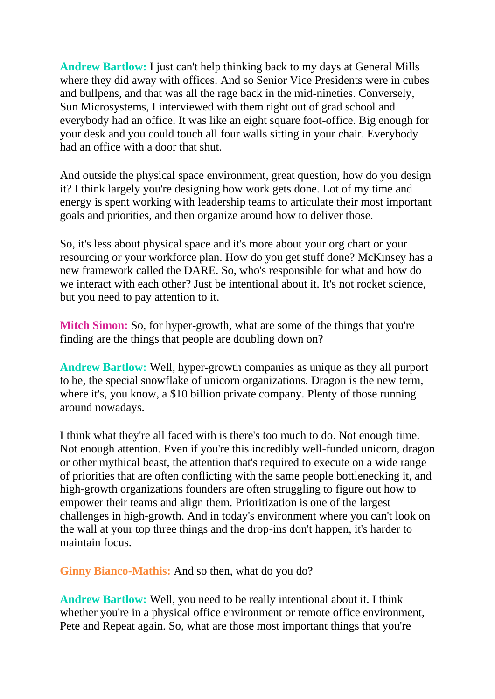**Andrew Bartlow:** I just can't help thinking back to my days at General Mills where they did away with offices. And so Senior Vice Presidents were in cubes and bullpens, and that was all the rage back in the mid-nineties. Conversely, Sun Microsystems, I interviewed with them right out of grad school and everybody had an office. It was like an eight square foot-office. Big enough for your desk and you could touch all four walls sitting in your chair. Everybody had an office with a door that shut.

And outside the physical space environment, great question, how do you design it? I think largely you're designing how work gets done. Lot of my time and energy is spent working with leadership teams to articulate their most important goals and priorities, and then organize around how to deliver those.

So, it's less about physical space and it's more about your org chart or your resourcing or your workforce plan. How do you get stuff done? McKinsey has a new framework called the DARE. So, who's responsible for what and how do we interact with each other? Just be intentional about it. It's not rocket science, but you need to pay attention to it.

**Mitch Simon:** So, for hyper-growth, what are some of the things that you're finding are the things that people are doubling down on?

**Andrew Bartlow:** Well, hyper-growth companies as unique as they all purport to be, the special snowflake of unicorn organizations. Dragon is the new term, where it's, you know, a \$10 billion private company. Plenty of those running around nowadays.

I think what they're all faced with is there's too much to do. Not enough time. Not enough attention. Even if you're this incredibly well-funded unicorn, dragon or other mythical beast, the attention that's required to execute on a wide range of priorities that are often conflicting with the same people bottlenecking it, and high-growth organizations founders are often struggling to figure out how to empower their teams and align them. Prioritization is one of the largest challenges in high-growth. And in today's environment where you can't look on the wall at your top three things and the drop-ins don't happen, it's harder to maintain focus.

**Ginny Bianco-Mathis:** And so then, what do you do?

**Andrew Bartlow:** Well, you need to be really intentional about it. I think whether you're in a physical office environment or remote office environment. Pete and Repeat again. So, what are those most important things that you're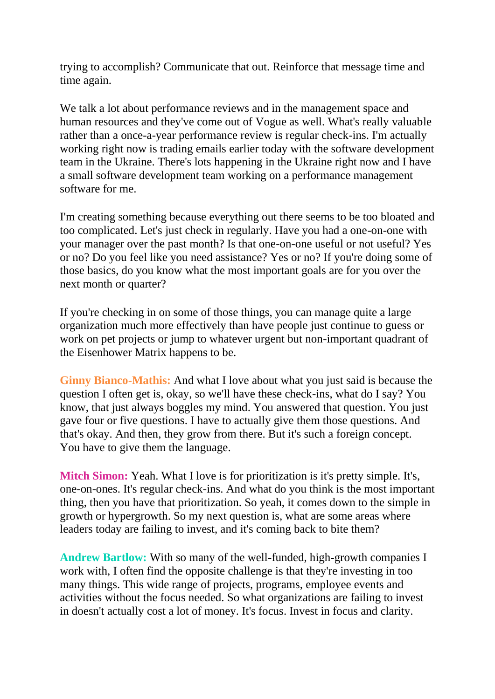trying to accomplish? Communicate that out. Reinforce that message time and time again.

We talk a lot about performance reviews and in the management space and human resources and they've come out of Vogue as well. What's really valuable rather than a once-a-year performance review is regular check-ins. I'm actually working right now is trading emails earlier today with the software development team in the Ukraine. There's lots happening in the Ukraine right now and I have a small software development team working on a performance management software for me.

I'm creating something because everything out there seems to be too bloated and too complicated. Let's just check in regularly. Have you had a one-on-one with your manager over the past month? Is that one-on-one useful or not useful? Yes or no? Do you feel like you need assistance? Yes or no? If you're doing some of those basics, do you know what the most important goals are for you over the next month or quarter?

If you're checking in on some of those things, you can manage quite a large organization much more effectively than have people just continue to guess or work on pet projects or jump to whatever urgent but non-important quadrant of the Eisenhower Matrix happens to be.

**Ginny Bianco-Mathis:** And what I love about what you just said is because the question I often get is, okay, so we'll have these check-ins, what do I say? You know, that just always boggles my mind. You answered that question. You just gave four or five questions. I have to actually give them those questions. And that's okay. And then, they grow from there. But it's such a foreign concept. You have to give them the language.

**Mitch Simon:** Yeah. What I love is for prioritization is it's pretty simple. It's, one-on-ones. It's regular check-ins. And what do you think is the most important thing, then you have that prioritization. So yeah, it comes down to the simple in growth or hypergrowth. So my next question is, what are some areas where leaders today are failing to invest, and it's coming back to bite them?

**Andrew Bartlow:** With so many of the well-funded, high-growth companies I work with, I often find the opposite challenge is that they're investing in too many things. This wide range of projects, programs, employee events and activities without the focus needed. So what organizations are failing to invest in doesn't actually cost a lot of money. It's focus. Invest in focus and clarity.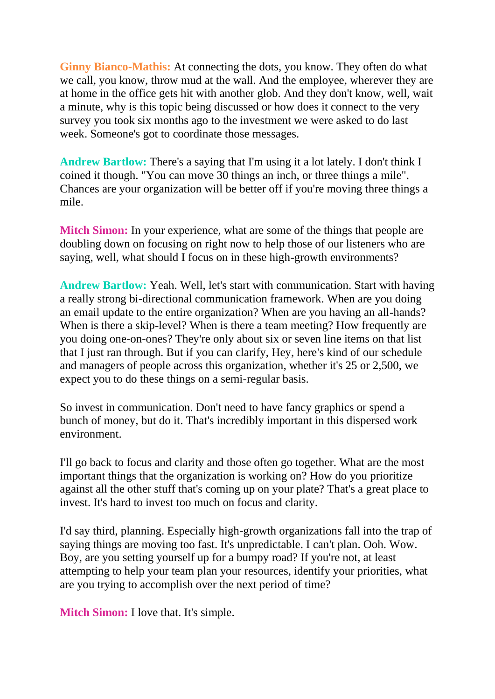**Ginny Bianco-Mathis:** At connecting the dots, you know. They often do what we call, you know, throw mud at the wall. And the employee, wherever they are at home in the office gets hit with another glob. And they don't know, well, wait a minute, why is this topic being discussed or how does it connect to the very survey you took six months ago to the investment we were asked to do last week. Someone's got to coordinate those messages.

**Andrew Bartlow:** There's a saying that I'm using it a lot lately. I don't think I coined it though. "You can move 30 things an inch, or three things a mile". Chances are your organization will be better off if you're moving three things a mile.

**Mitch Simon:** In your experience, what are some of the things that people are doubling down on focusing on right now to help those of our listeners who are saying, well, what should I focus on in these high-growth environments?

**Andrew Bartlow:** Yeah. Well, let's start with communication. Start with having a really strong bi-directional communication framework. When are you doing an email update to the entire organization? When are you having an all-hands? When is there a skip-level? When is there a team meeting? How frequently are you doing one-on-ones? They're only about six or seven line items on that list that I just ran through. But if you can clarify, Hey, here's kind of our schedule and managers of people across this organization, whether it's 25 or 2,500, we expect you to do these things on a semi-regular basis.

So invest in communication. Don't need to have fancy graphics or spend a bunch of money, but do it. That's incredibly important in this dispersed work environment.

I'll go back to focus and clarity and those often go together. What are the most important things that the organization is working on? How do you prioritize against all the other stuff that's coming up on your plate? That's a great place to invest. It's hard to invest too much on focus and clarity.

I'd say third, planning. Especially high-growth organizations fall into the trap of saying things are moving too fast. It's unpredictable. I can't plan. Ooh. Wow. Boy, are you setting yourself up for a bumpy road? If you're not, at least attempting to help your team plan your resources, identify your priorities, what are you trying to accomplish over the next period of time?

**Mitch Simon:** I love that. It's simple.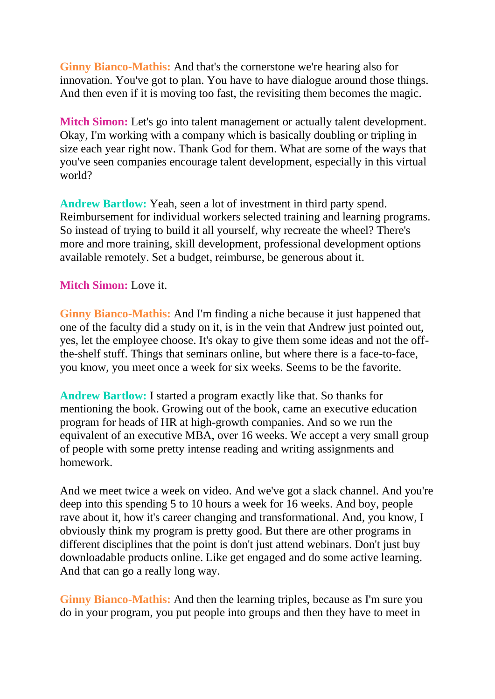**Ginny Bianco-Mathis:** And that's the cornerstone we're hearing also for innovation. You've got to plan. You have to have dialogue around those things. And then even if it is moving too fast, the revisiting them becomes the magic.

**Mitch Simon:** Let's go into talent management or actually talent development. Okay, I'm working with a company which is basically doubling or tripling in size each year right now. Thank God for them. What are some of the ways that you've seen companies encourage talent development, especially in this virtual world?

**Andrew Bartlow:** Yeah, seen a lot of investment in third party spend. Reimbursement for individual workers selected training and learning programs. So instead of trying to build it all yourself, why recreate the wheel? There's more and more training, skill development, professional development options available remotely. Set a budget, reimburse, be generous about it.

**Mitch Simon:** Love it.

**Ginny Bianco-Mathis:** And I'm finding a niche because it just happened that one of the faculty did a study on it, is in the vein that Andrew just pointed out, yes, let the employee choose. It's okay to give them some ideas and not the offthe-shelf stuff. Things that seminars online, but where there is a face-to-face, you know, you meet once a week for six weeks. Seems to be the favorite.

**Andrew Bartlow:** I started a program exactly like that. So thanks for mentioning the book. Growing out of the book, came an executive education program for heads of HR at high-growth companies. And so we run the equivalent of an executive MBA, over 16 weeks. We accept a very small group of people with some pretty intense reading and writing assignments and homework.

And we meet twice a week on video. And we've got a slack channel. And you're deep into this spending 5 to 10 hours a week for 16 weeks. And boy, people rave about it, how it's career changing and transformational. And, you know, I obviously think my program is pretty good. But there are other programs in different disciplines that the point is don't just attend webinars. Don't just buy downloadable products online. Like get engaged and do some active learning. And that can go a really long way.

**Ginny Bianco-Mathis:** And then the learning triples, because as I'm sure you do in your program, you put people into groups and then they have to meet in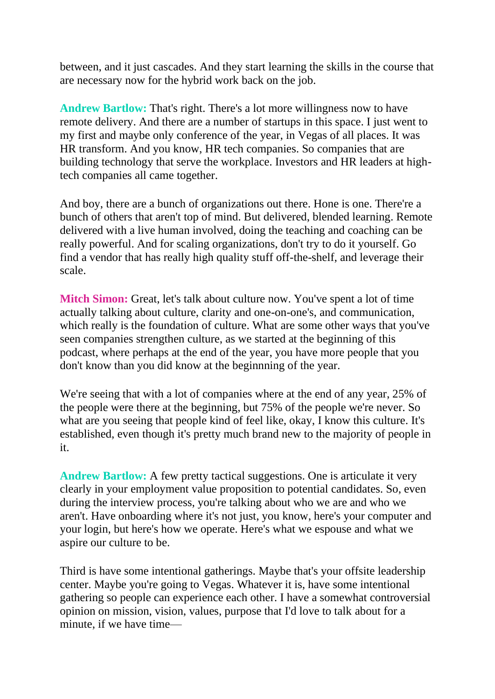between, and it just cascades. And they start learning the skills in the course that are necessary now for the hybrid work back on the job.

**Andrew Bartlow:** That's right. There's a lot more willingness now to have remote delivery. And there are a number of startups in this space. I just went to my first and maybe only conference of the year, in Vegas of all places. It was HR transform. And you know, HR tech companies. So companies that are building technology that serve the workplace. Investors and HR leaders at hightech companies all came together.

And boy, there are a bunch of organizations out there. Hone is one. There're a bunch of others that aren't top of mind. But delivered, blended learning. Remote delivered with a live human involved, doing the teaching and coaching can be really powerful. And for scaling organizations, don't try to do it yourself. Go find a vendor that has really high quality stuff off-the-shelf, and leverage their scale.

**Mitch Simon:** Great, let's talk about culture now. You've spent a lot of time actually talking about culture, clarity and one-on-one's, and communication, which really is the foundation of culture. What are some other ways that you've seen companies strengthen culture, as we started at the beginning of this podcast, where perhaps at the end of the year, you have more people that you don't know than you did know at the beginnning of the year.

We're seeing that with a lot of companies where at the end of any year, 25% of the people were there at the beginning, but 75% of the people we're never. So what are you seeing that people kind of feel like, okay, I know this culture. It's established, even though it's pretty much brand new to the majority of people in it.

**Andrew Bartlow:** A few pretty tactical suggestions. One is articulate it very clearly in your employment value proposition to potential candidates. So, even during the interview process, you're talking about who we are and who we aren't. Have onboarding where it's not just, you know, here's your computer and your login, but here's how we operate. Here's what we espouse and what we aspire our culture to be.

Third is have some intentional gatherings. Maybe that's your offsite leadership center. Maybe you're going to Vegas. Whatever it is, have some intentional gathering so people can experience each other. I have a somewhat controversial opinion on mission, vision, values, purpose that I'd love to talk about for a minute, if we have time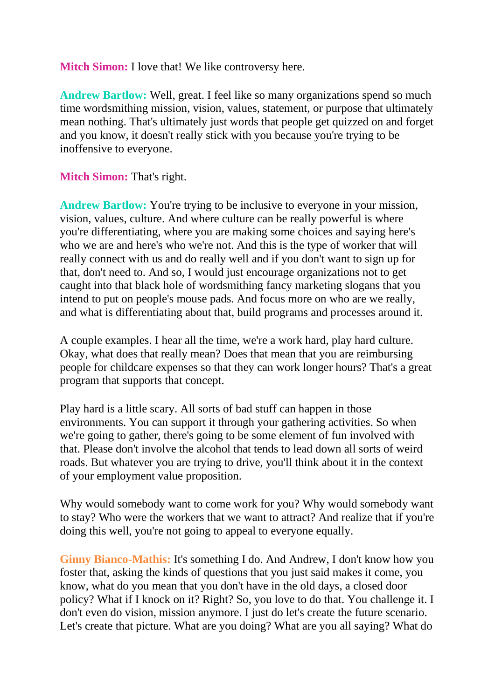**Mitch Simon:** I love that! We like controversy here.

**Andrew Bartlow:** Well, great. I feel like so many organizations spend so much time wordsmithing mission, vision, values, statement, or purpose that ultimately mean nothing. That's ultimately just words that people get quizzed on and forget and you know, it doesn't really stick with you because you're trying to be inoffensive to everyone.

**Mitch Simon:** That's right.

Andrew Bartlow: You're trying to be inclusive to everyone in your mission, vision, values, culture. And where culture can be really powerful is where you're differentiating, where you are making some choices and saying here's who we are and here's who we're not. And this is the type of worker that will really connect with us and do really well and if you don't want to sign up for that, don't need to. And so, I would just encourage organizations not to get caught into that black hole of wordsmithing fancy marketing slogans that you intend to put on people's mouse pads. And focus more on who are we really, and what is differentiating about that, build programs and processes around it.

A couple examples. I hear all the time, we're a work hard, play hard culture. Okay, what does that really mean? Does that mean that you are reimbursing people for childcare expenses so that they can work longer hours? That's a great program that supports that concept.

Play hard is a little scary. All sorts of bad stuff can happen in those environments. You can support it through your gathering activities. So when we're going to gather, there's going to be some element of fun involved with that. Please don't involve the alcohol that tends to lead down all sorts of weird roads. But whatever you are trying to drive, you'll think about it in the context of your employment value proposition.

Why would somebody want to come work for you? Why would somebody want to stay? Who were the workers that we want to attract? And realize that if you're doing this well, you're not going to appeal to everyone equally.

**Ginny Bianco-Mathis:** It's something I do. And Andrew, I don't know how you foster that, asking the kinds of questions that you just said makes it come, you know, what do you mean that you don't have in the old days, a closed door policy? What if I knock on it? Right? So, you love to do that. You challenge it. I don't even do vision, mission anymore. I just do let's create the future scenario. Let's create that picture. What are you doing? What are you all saying? What do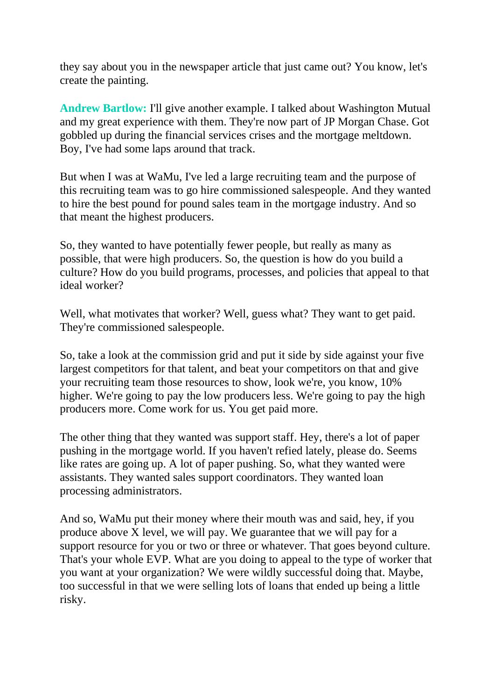they say about you in the newspaper article that just came out? You know, let's create the painting.

**Andrew Bartlow:** I'll give another example. I talked about Washington Mutual and my great experience with them. They're now part of JP Morgan Chase. Got gobbled up during the financial services crises and the mortgage meltdown. Boy, I've had some laps around that track.

But when I was at WaMu, I've led a large recruiting team and the purpose of this recruiting team was to go hire commissioned salespeople. And they wanted to hire the best pound for pound sales team in the mortgage industry. And so that meant the highest producers.

So, they wanted to have potentially fewer people, but really as many as possible, that were high producers. So, the question is how do you build a culture? How do you build programs, processes, and policies that appeal to that ideal worker?

Well, what motivates that worker? Well, guess what? They want to get paid. They're commissioned salespeople.

So, take a look at the commission grid and put it side by side against your five largest competitors for that talent, and beat your competitors on that and give your recruiting team those resources to show, look we're, you know, 10% higher. We're going to pay the low producers less. We're going to pay the high producers more. Come work for us. You get paid more.

The other thing that they wanted was support staff. Hey, there's a lot of paper pushing in the mortgage world. If you haven't refied lately, please do. Seems like rates are going up. A lot of paper pushing. So, what they wanted were assistants. They wanted sales support coordinators. They wanted loan processing administrators.

And so, WaMu put their money where their mouth was and said, hey, if you produce above  $\bar{X}$  level, we will pay. We guarantee that we will pay for a support resource for you or two or three or whatever. That goes beyond culture. That's your whole EVP. What are you doing to appeal to the type of worker that you want at your organization? We were wildly successful doing that. Maybe, too successful in that we were selling lots of loans that ended up being a little risky.